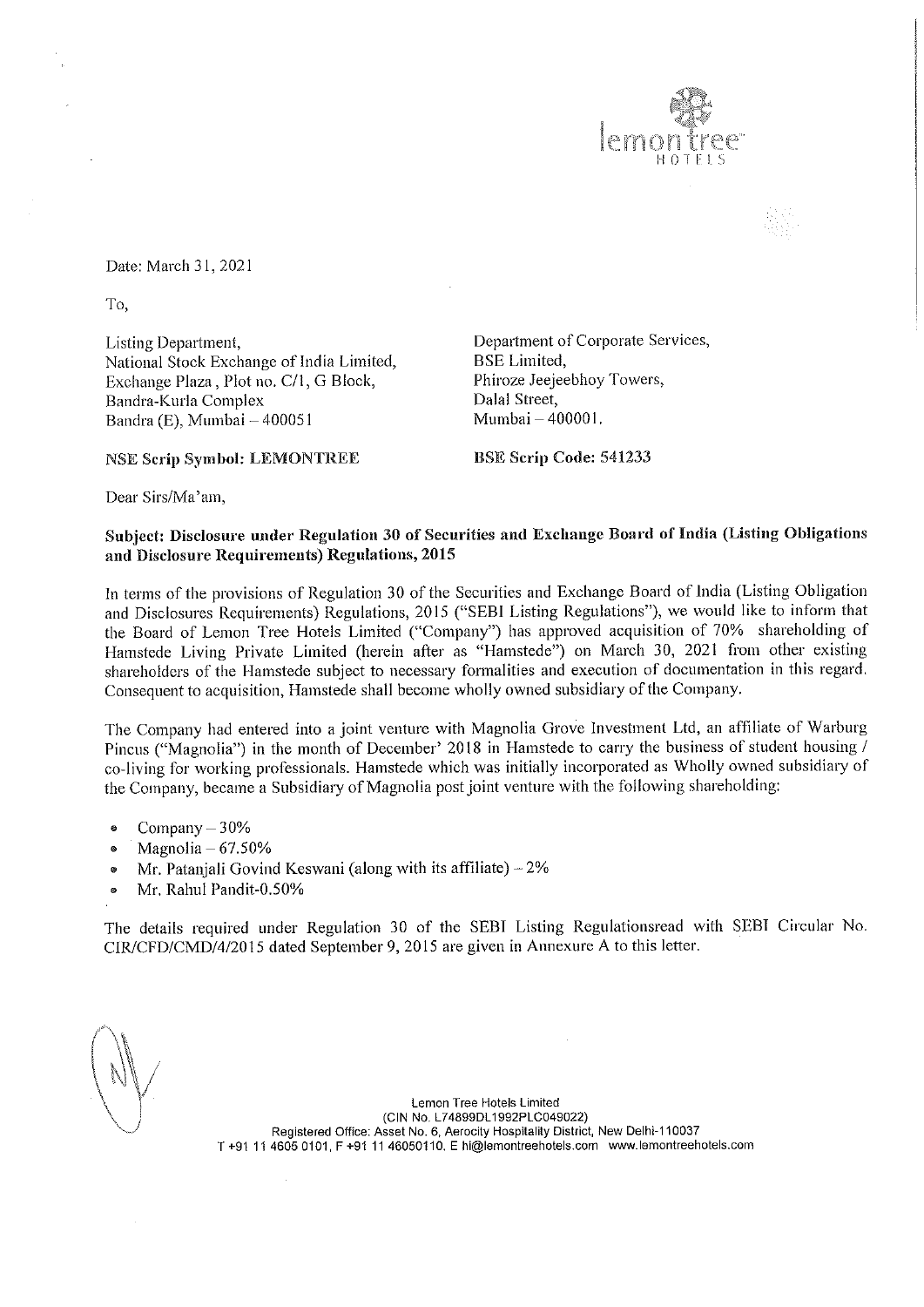

Date: March 31, 2021

To,

Listing Department, **Department of Corporate Services**, National Stock Exchange of India Limited, BSE Limited, Exchange Plaza, Plot no. C/1, G Block, Phiroze Jeejeebhoy Towers, Bandra-Kurla Complex Dalal Street, Bandra (E), Mumbai – 400051 Mumbai – 400001.

NSE Serip Symbol: LEMONTREE BSE Scrip Code: 541233

Dear Sirs/Ma'am,

## Subject: Disclosure under Regulation 30 of Securities and Exchange Board of India (Listing Obligations and Disclosure Requirements) Regulations, 2015

In terms of the provisions of Regulation 30 of the Securities and Exchange Board of India (Listing Obligation and Disclosures Requirements) Regulations, 2015 ("SEBI Listing Regulations"), we would like to inform that the Board of Lemon Tree Hotels Limited ("Company") has approved acquisition of 70% shareholding of Hamstede Living Private Limited (herein after as "Hamstede") on March 30, 2021 from other existing shareholders of the Hamstede subject to necessary formalities and execution of documentation in this regard. Consequent to acquisition, Hamstede shall become wholly owned subsidiary of the Company.

The Company had entered into a joint venture with Magnolia Grove Investment Ltd, an affiliate of Warburg Pincus ("Magnolia") in the month of December' 2018 in Hamstede to carry the business of student housing / co-living for working professionals. Hamstede which was initially incorporated as Wholly owned subsidiary of the Company, became a Subsidiary of Magnolia post joint venture with the following shareholding:

- Company  $-30%$
- $\bullet$  Magnolia  $-67.50\%$
- Mr. Patanjali Govind Keswani (along with its affiliate)  $-2\%$
- @ Mr. Rahul Pandit-0.50%

The details required under Regulation 30 of the SEBI Listing Regulationsread with SEBI Circular No. CIR/CFD/CMD/4/2015 dated September 9, 2015 are given in Annexure A to this letter.

Lemon Tree Hotels Limited (CIN No, L74899DL1982PLC049022) Registered Office: Asset No. 6, Aerocity Hospitality District, New Delhi-110037 T +91 14 4605 0101, F +94 11 46050110. E hi@lemontreehotels.com www.lemontreehotels.com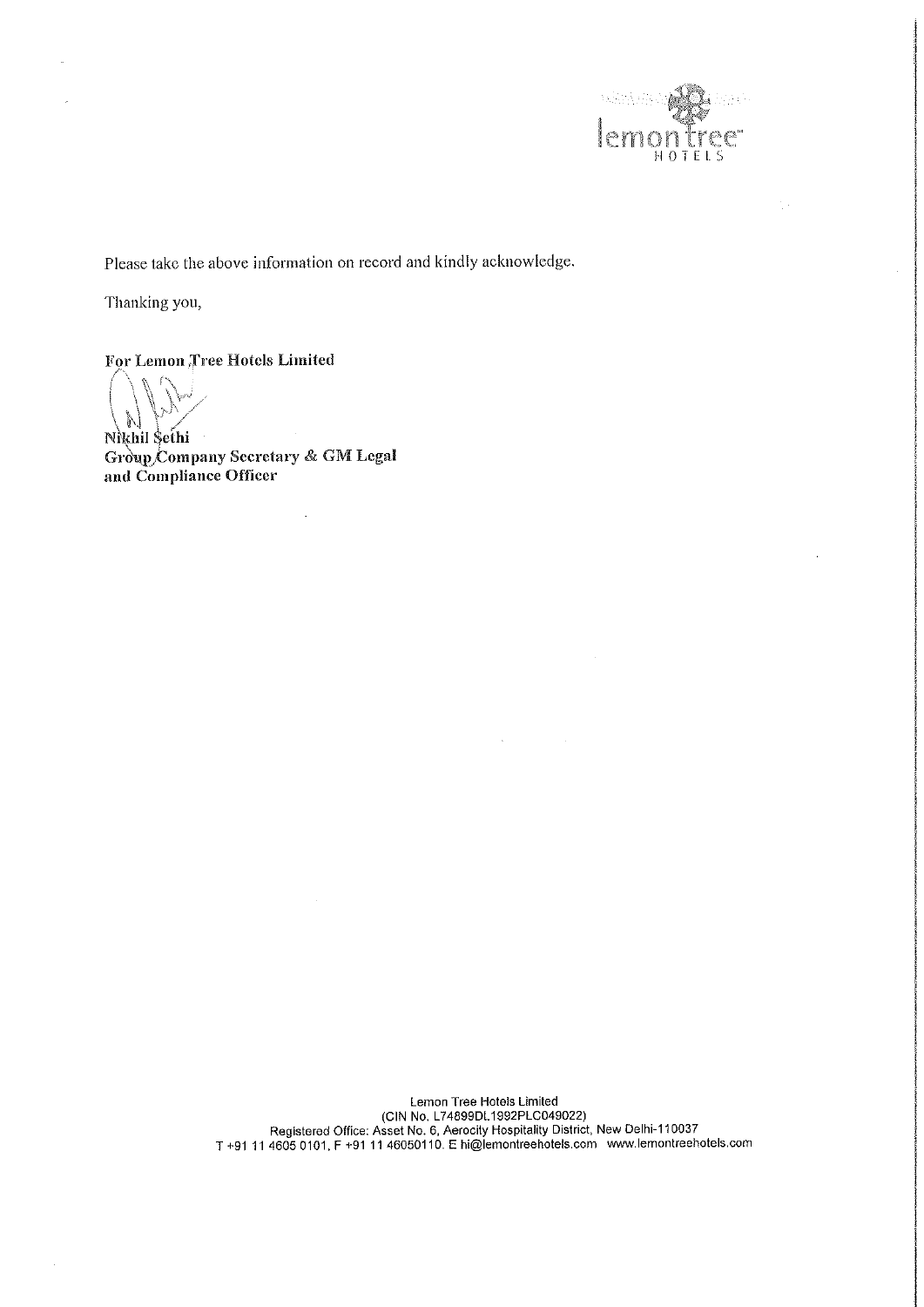

Please take the above information on record and kindly acknowledge.

Thanking you,

For Lemon ;free Hotels Limited

 $\sqrt{|\mathcal{M}|}$ Nikhil Sethi

Group Company Secretary & GM Legal and Compliance Officer

> Lemon Tree Hotels Limited (CIN No, L74899DL1992PLC049022) Registered Office: Asset No. 6, Aerocity Hospitality District, New Delhi-110037 T +91 41 4605 0101, F +91 11 46050110. E hi@lemontreehotels.com www.lemontreehotels.com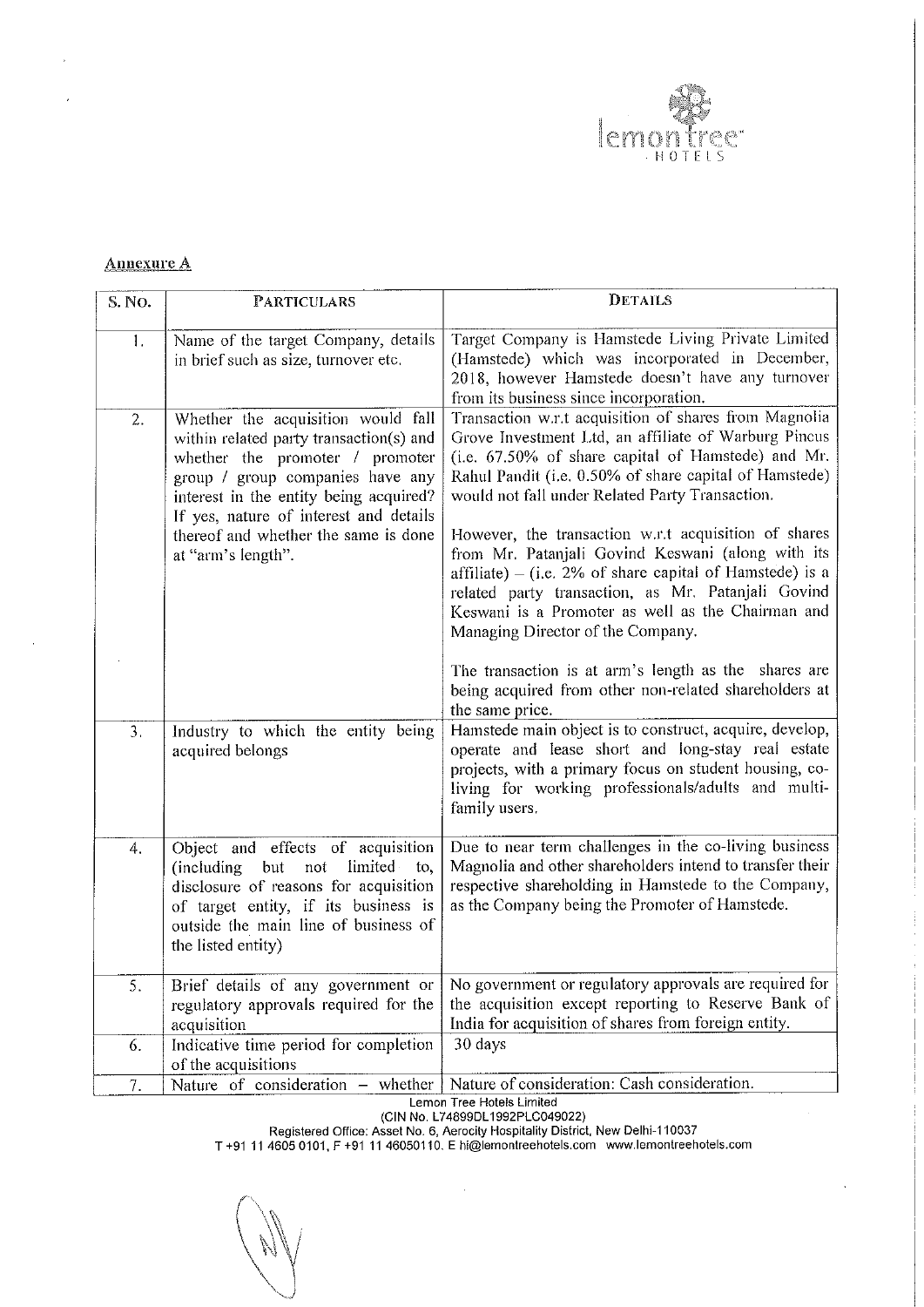

## Annexure A

÷,

|                   |                                                                                                               | tree"<br><b>HOTELS</b>                                                                                                                                                                                                                                                           |  |  |  |  |  |  |
|-------------------|---------------------------------------------------------------------------------------------------------------|----------------------------------------------------------------------------------------------------------------------------------------------------------------------------------------------------------------------------------------------------------------------------------|--|--|--|--|--|--|
|                   |                                                                                                               |                                                                                                                                                                                                                                                                                  |  |  |  |  |  |  |
|                   |                                                                                                               |                                                                                                                                                                                                                                                                                  |  |  |  |  |  |  |
| <b>Annexure A</b> |                                                                                                               |                                                                                                                                                                                                                                                                                  |  |  |  |  |  |  |
| S. No.            | <b>PARTICULARS</b><br>Name of the target Company, details                                                     | <b>DETAILS</b><br>Target Company is Hamstede Living Private Limited                                                                                                                                                                                                              |  |  |  |  |  |  |
| 1.                | in brief such as size, turnover etc.                                                                          | (Hamstede) which was incorporated in December,<br>2018, however Hamstede doesn't have any turnover<br>from its business since incorporation.                                                                                                                                     |  |  |  |  |  |  |
| 2.                | Whether the acquisition would fall<br>within related party transaction(s) and                                 | Transaction w.r.t acquisition of shares from Magnolia<br>Grove Investment Ltd, an affiliate of Warburg Pincus<br>(i.e. 67.50% of share capital of Hamstede) and Mr.<br>Rahul Pandit (i.e. 0.50% of share capital of Hamstede)<br>would not fall under Related Party Transaction. |  |  |  |  |  |  |
|                   | whether the promoter / promoter<br>group / group companies have any<br>interest in the entity being acquired? |                                                                                                                                                                                                                                                                                  |  |  |  |  |  |  |
|                   | If yes, nature of interest and details<br>thereof and whether the same is done                                | However, the transaction w.r.t acquisition of shares                                                                                                                                                                                                                             |  |  |  |  |  |  |
|                   | at "arm's length".                                                                                            | from Mr. Patanjali Govind Keswani (along with its<br>affiliate) – (i.e. 2% of share capital of Hamstede) is a<br>related party transaction, as Mr. Patanjali Govind                                                                                                              |  |  |  |  |  |  |
|                   |                                                                                                               | Keswani is a Promoter as well as the Chairman and<br>Managing Director of the Company.                                                                                                                                                                                           |  |  |  |  |  |  |
|                   |                                                                                                               | The transaction is at arm's length as the shares are                                                                                                                                                                                                                             |  |  |  |  |  |  |
|                   |                                                                                                               | being acquired from other non-related shareholders at<br>the same price.                                                                                                                                                                                                         |  |  |  |  |  |  |
| 3.                | Industry to which the entity being<br>acquired belongs                                                        | Hamstede main object is to construct, acquire, develop,<br>operate and lease short and long-stay real estate<br>projects, with a primary focus on student housing, co-                                                                                                           |  |  |  |  |  |  |
|                   |                                                                                                               | living for working professionals/adults and multi-<br>family users.                                                                                                                                                                                                              |  |  |  |  |  |  |
| 4.                | Object and effects of acquisition                                                                             | Due to near term challenges in the co-living business                                                                                                                                                                                                                            |  |  |  |  |  |  |
|                   | (including but<br>limited to,<br>not<br>disclosure of reasons for acquisition                                 | Magnolia and other shareholders intend to transfer their<br>respective shareholding in Hamstede to the Company,                                                                                                                                                                  |  |  |  |  |  |  |
|                   | of target entity, if its business is<br>outside the main line of business of                                  | as the Company being the Promoter of Hamstede.                                                                                                                                                                                                                                   |  |  |  |  |  |  |
| 5.                | the listed entity)<br>Brief details of any government or                                                      | No government or regulatory approvals are required for                                                                                                                                                                                                                           |  |  |  |  |  |  |
|                   | regulatory approvals required for the<br>acquisition                                                          | the acquisition except reporting to Reserve Bank of<br>India for acquisition of shares from foreign entity.                                                                                                                                                                      |  |  |  |  |  |  |
| 6.                | Indicative time period for completion<br>of the acquisitions                                                  | 30 days                                                                                                                                                                                                                                                                          |  |  |  |  |  |  |
|                   |                                                                                                               | Nature of consideration: Cash consideration.                                                                                                                                                                                                                                     |  |  |  |  |  |  |

(CIN No, L74899DL1992PLC049022)

Registered Office: Asset No. 6, Aerocity Hospitality District, New Delhi-110037

 $\hat{\mathcal{A}}$ 

T +91 11 4605 0101, F +91 11 46050110. E hi@lemontreehotels.com www.lemontreehotels.com

**AV**